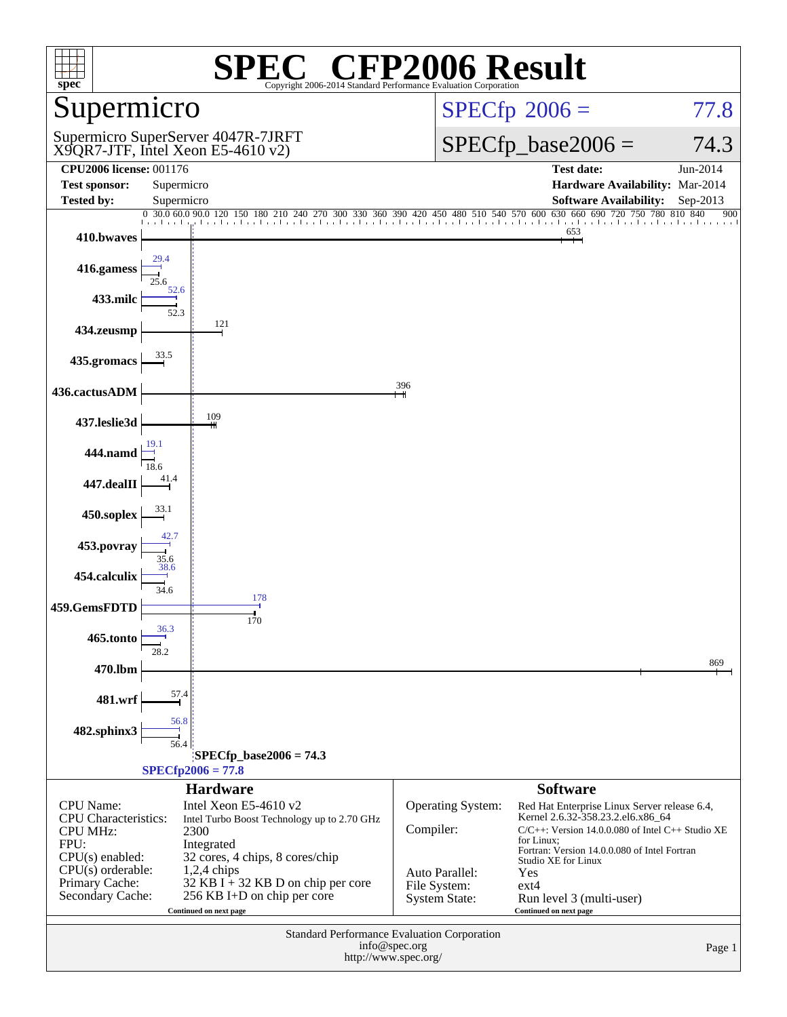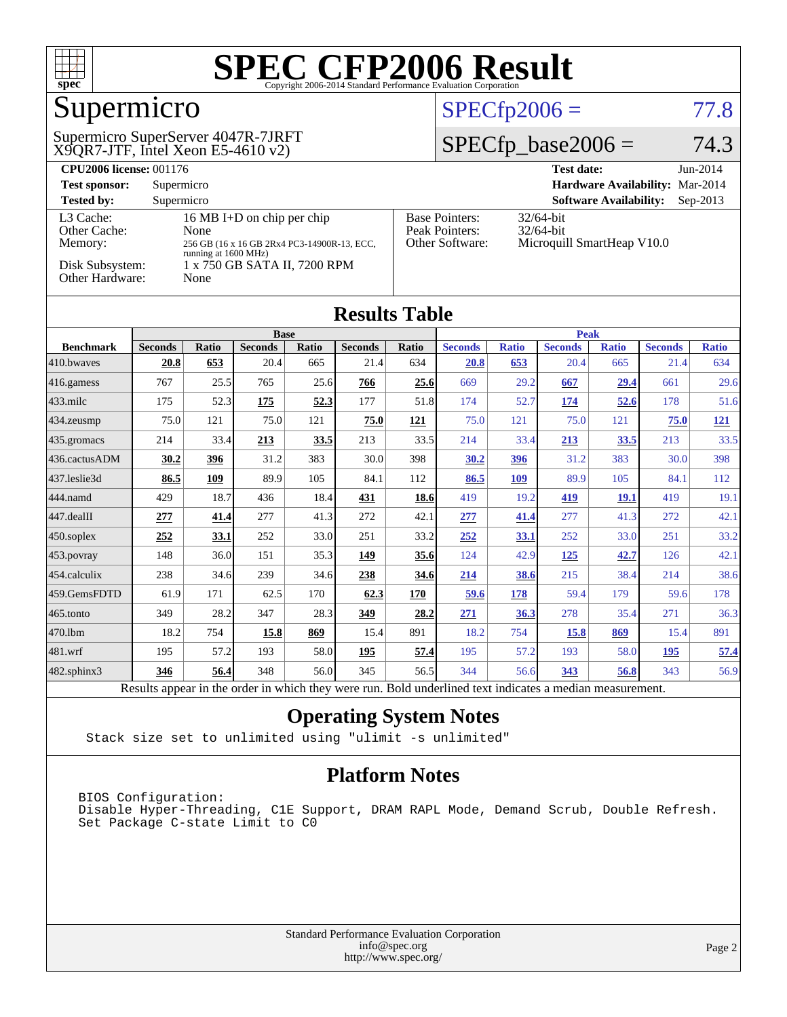

## Supermicro

X9QR7-JTF, Intel Xeon E5-4610 v2) Supermicro SuperServer 4047R-7JRFT

#### $SPECfp2006 = 77.8$  $SPECfp2006 = 77.8$

### $SPECTp\_base2006 = 74.3$

| <b>CPU2006 license: 001176</b>       |                                                                                                                  |                                                            | <b>Test date:</b><br>$Jun-2014$                            |
|--------------------------------------|------------------------------------------------------------------------------------------------------------------|------------------------------------------------------------|------------------------------------------------------------|
| <b>Test sponsor:</b>                 | Supermicro                                                                                                       |                                                            | Hardware Availability: Mar-2014                            |
| <b>Tested by:</b>                    | Supermicro                                                                                                       |                                                            | <b>Software Availability:</b><br>$Sep-2013$                |
| L3 Cache:<br>Other Cache:<br>Memory: | 16 MB I+D on chip per chip<br><b>None</b><br>256 GB (16 x 16 GB 2Rx4 PC3-14900R-13, ECC,<br>running at 1600 MHz) | <b>Base Pointers:</b><br>Peak Pointers:<br>Other Software: | $32/64$ -bit<br>$32/64$ -bit<br>Microquill SmartHeap V10.0 |
| Disk Subsystem:<br>Other Hardware:   | 1 x 750 GB SATA II, 7200 RPM<br>None                                                                             |                                                            |                                                            |

| <b>Results Table</b>   |                |       |                |       |                |             |                |              |                |              |                |              |
|------------------------|----------------|-------|----------------|-------|----------------|-------------|----------------|--------------|----------------|--------------|----------------|--------------|
|                        | <b>Base</b>    |       |                |       |                | <b>Peak</b> |                |              |                |              |                |              |
| <b>Benchmark</b>       | <b>Seconds</b> | Ratio | <b>Seconds</b> | Ratio | <b>Seconds</b> | Ratio       | <b>Seconds</b> | <b>Ratio</b> | <b>Seconds</b> | <b>Ratio</b> | <b>Seconds</b> | <b>Ratio</b> |
| 410.bwaves             | 20.8           | 653   | 20.4           | 665   | 21.4           | 634         | 20.8           | 653          | 20.4           | 665          | 21.4           | 634          |
| 416.gamess             | 767            | 25.5  | 765            | 25.6  | 766            | 25.6        | 669            | 29.2         | 667            | 29.4         | 661            | 29.6         |
| $ 433 \text{.}$ milc   | 175            | 52.3  | <u>175</u>     | 52.3  | 177            | 51.8        | 174            | 52.7         | 174            | 52.6         | 178            | 51.6         |
| 434.zeusmp             | 75.0           | 121   | 75.0           | 121   | 75.0           | <u>121</u>  | 75.0           | 121          | 75.0           | 121          | 75.0           | <u>121</u>   |
| $435$ .gromacs         | 214            | 33.4  | 213            | 33.5  | 213            | 33.5        | 214            | 33.4         | 213            | 33.5         | 213            | 33.5         |
| 436.cactusADM          | 30.2           | 396   | 31.2           | 383   | 30.0           | 398         | 30.2           | 396          | 31.2           | 383          | 30.0           | 398          |
| 437.leslie3d           | 86.5           | 109   | 89.9           | 105   | 84.1           | 112         | 86.5           | 109          | 89.9           | 105          | 84.1           | 112          |
| 444.namd               | 429            | 18.7  | 436            | 18.4  | 431            | 18.6        | 419            | 19.2         | 419            | <b>19.1</b>  | 419            | 19.1         |
| $ 447 \text{.}$ dealII | 277            | 41.4  | 277            | 41.3  | 272            | 42.1        | 277            | 41.4         | 277            | 41.3         | 272            | 42.1         |
| $450$ .soplex          | 252            | 33.1  | 252            | 33.0  | 251            | 33.2        | 252            | 33.1         | 252            | 33.0         | 251            | 33.2         |
| 453.povray             | 148            | 36.0  | 151            | 35.3  | 149            | 35.6        | 124            | 42.9         | <u>125</u>     | 42.7         | 126            | 42.1         |
| 454.calculix           | 238            | 34.6  | 239            | 34.6  | 238            | 34.6        | 214            | 38.6         | 215            | 38.4         | 214            | 38.6         |
| 459.GemsFDTD           | 61.9           | 171   | 62.5           | 170   | 62.3           | 170         | 59.6           | 178          | 59.4           | 179          | 59.6           | 178          |
| $ 465$ .tonto          | 349            | 28.2  | 347            | 28.3  | 349            | 28.2        | 271            | 36.3         | 278            | 35.4         | 271            | 36.3         |
| 470.1bm                | 18.2           | 754   | 15.8           | 869   | 15.4           | 891         | 18.2           | 754          | 15.8           | 869          | 15.4           | 891          |
| $ 481$ .wrf            | 195            | 57.2  | 193            | 58.0  | 195            | 57.4        | 195            | 57.2         | 193            | 58.0         | 195            | 57.4         |
| $482$ .sphinx $3$      | 346            | 56.4  | 348            | 56.0  | 345            | 56.5        | 344            | 56.6         | 343            | 56.8         | 343            | 56.9         |

Results appear in the [order in which they were run.](http://www.spec.org/auto/cpu2006/Docs/result-fields.html#RunOrder) Bold underlined text [indicates a median measurement.](http://www.spec.org/auto/cpu2006/Docs/result-fields.html#Median)

#### **[Operating System Notes](http://www.spec.org/auto/cpu2006/Docs/result-fields.html#OperatingSystemNotes)**

Stack size set to unlimited using "ulimit -s unlimited"

#### **[Platform Notes](http://www.spec.org/auto/cpu2006/Docs/result-fields.html#PlatformNotes)**

BIOS Configuration: Disable Hyper-Threading, C1E Support, DRAM RAPL Mode, Demand Scrub, Double Refresh. Set Package C-state Limit to C0

| <b>Standard Performance Evaluation Corporation</b> |
|----------------------------------------------------|
| info@spec.org                                      |
| http://www.spec.org/                               |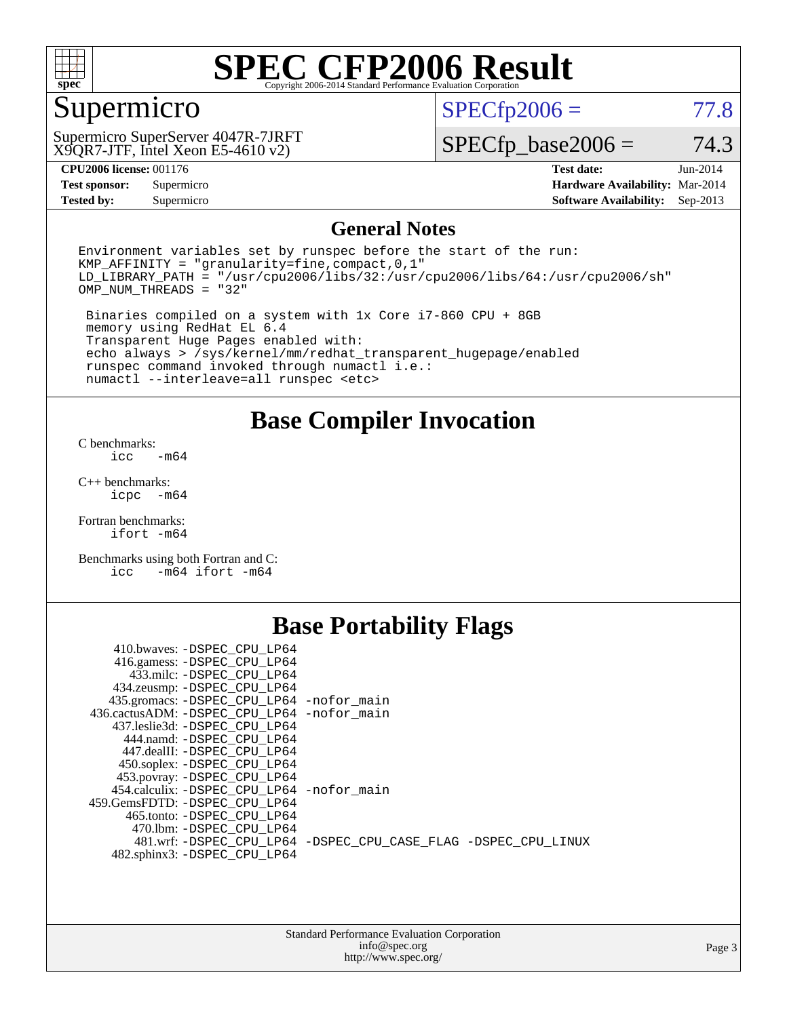

## Supermicro

X9QR7-JTF, Intel Xeon E5-4610 v2) Supermicro SuperServer 4047R-7JRFT  $SPECTp2006 = 77.8$ 

 $SPECTp\_base2006 = 74.3$ 

**[CPU2006 license:](http://www.spec.org/auto/cpu2006/Docs/result-fields.html#CPU2006license)** 001176 **[Test date:](http://www.spec.org/auto/cpu2006/Docs/result-fields.html#Testdate)** Jun-2014

**[Tested by:](http://www.spec.org/auto/cpu2006/Docs/result-fields.html#Testedby)** Supermicro **Supermicro [Software Availability:](http://www.spec.org/auto/cpu2006/Docs/result-fields.html#SoftwareAvailability)** Sep-2013

**[Test sponsor:](http://www.spec.org/auto/cpu2006/Docs/result-fields.html#Testsponsor)** Supermicro **[Hardware Availability:](http://www.spec.org/auto/cpu2006/Docs/result-fields.html#HardwareAvailability)** Mar-2014

#### **[General Notes](http://www.spec.org/auto/cpu2006/Docs/result-fields.html#GeneralNotes)**

Environment variables set by runspec before the start of the run: KMP\_AFFINITY = "granularity=fine,compact,0,1"  $LD$ <sup>LIBRARY\_PATH = "/usr/cpu2006/libs/32:/usr/cpu2006/libs/64:/usr/cpu2006/sh"</sup> OMP\_NUM\_THREADS = "32"

 Binaries compiled on a system with 1x Core i7-860 CPU + 8GB memory using RedHat EL 6.4 Transparent Huge Pages enabled with: echo always > /sys/kernel/mm/redhat\_transparent\_hugepage/enabled runspec command invoked through numactl i.e.: numactl --interleave=all runspec <etc>

**[Base Compiler Invocation](http://www.spec.org/auto/cpu2006/Docs/result-fields.html#BaseCompilerInvocation)**

[C benchmarks](http://www.spec.org/auto/cpu2006/Docs/result-fields.html#Cbenchmarks):  $\frac{1}{2}$ cc  $-\text{m64}$ 

[C++ benchmarks:](http://www.spec.org/auto/cpu2006/Docs/result-fields.html#CXXbenchmarks) [icpc -m64](http://www.spec.org/cpu2006/results/res2014q3/cpu2006-20140612-29902.flags.html#user_CXXbase_intel_icpc_64bit_bedb90c1146cab66620883ef4f41a67e)

[Fortran benchmarks](http://www.spec.org/auto/cpu2006/Docs/result-fields.html#Fortranbenchmarks): [ifort -m64](http://www.spec.org/cpu2006/results/res2014q3/cpu2006-20140612-29902.flags.html#user_FCbase_intel_ifort_64bit_ee9d0fb25645d0210d97eb0527dcc06e)

[Benchmarks using both Fortran and C](http://www.spec.org/auto/cpu2006/Docs/result-fields.html#BenchmarksusingbothFortranandC): [icc -m64](http://www.spec.org/cpu2006/results/res2014q3/cpu2006-20140612-29902.flags.html#user_CC_FCbase_intel_icc_64bit_0b7121f5ab7cfabee23d88897260401c) [ifort -m64](http://www.spec.org/cpu2006/results/res2014q3/cpu2006-20140612-29902.flags.html#user_CC_FCbase_intel_ifort_64bit_ee9d0fb25645d0210d97eb0527dcc06e)

### **[Base Portability Flags](http://www.spec.org/auto/cpu2006/Docs/result-fields.html#BasePortabilityFlags)**

| 410.bwaves: -DSPEC CPU LP64                 |                                                                |
|---------------------------------------------|----------------------------------------------------------------|
| 416.gamess: -DSPEC_CPU_LP64                 |                                                                |
| 433.milc: -DSPEC_CPU_LP64                   |                                                                |
| 434.zeusmp: - DSPEC_CPU_LP64                |                                                                |
| 435.gromacs: -DSPEC_CPU_LP64 -nofor_main    |                                                                |
| 436.cactusADM: -DSPEC CPU LP64 -nofor main  |                                                                |
| 437.leslie3d: -DSPEC CPU LP64               |                                                                |
| 444.namd: -DSPEC CPU LP64                   |                                                                |
| 447.dealII: -DSPEC CPU LP64                 |                                                                |
| 450.soplex: -DSPEC CPU LP64                 |                                                                |
| 453.povray: -DSPEC_CPU_LP64                 |                                                                |
| 454.calculix: - DSPEC CPU LP64 - nofor main |                                                                |
| 459.GemsFDTD: -DSPEC CPU LP64               |                                                                |
| 465.tonto: -DSPEC CPU LP64                  |                                                                |
| 470.1bm: - DSPEC CPU LP64                   |                                                                |
|                                             | 481.wrf: -DSPEC CPU_LP64 -DSPEC_CPU_CASE_FLAG -DSPEC_CPU_LINUX |
| 482.sphinx3: -DSPEC_CPU_LP64                |                                                                |
|                                             |                                                                |

| <b>Standard Performance Evaluation Corporation</b> |
|----------------------------------------------------|
| info@spec.org                                      |
| http://www.spec.org/                               |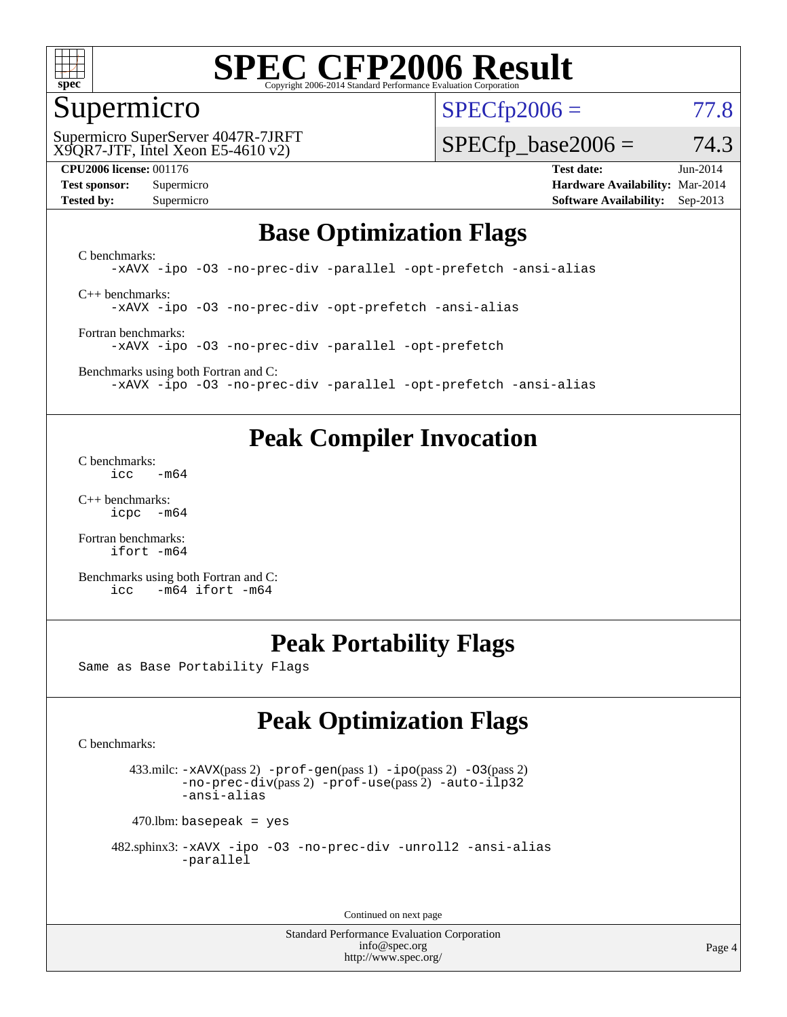

#### Supermicro

 $SPECTp2006 = 77.8$ 

X9QR7-JTF, Intel Xeon E5-4610 v2) Supermicro SuperServer 4047R-7JRFT  $SPECTp\_base2006 = 74.3$ 

**[CPU2006 license:](http://www.spec.org/auto/cpu2006/Docs/result-fields.html#CPU2006license)** 001176 **[Test date:](http://www.spec.org/auto/cpu2006/Docs/result-fields.html#Testdate)** Jun-2014 **[Test sponsor:](http://www.spec.org/auto/cpu2006/Docs/result-fields.html#Testsponsor)** Supermicro **[Hardware Availability:](http://www.spec.org/auto/cpu2006/Docs/result-fields.html#HardwareAvailability)** Mar-2014 **[Tested by:](http://www.spec.org/auto/cpu2006/Docs/result-fields.html#Testedby)** Supermicro **Supermicro [Software Availability:](http://www.spec.org/auto/cpu2006/Docs/result-fields.html#SoftwareAvailability)** Sep-2013

#### **[Base Optimization Flags](http://www.spec.org/auto/cpu2006/Docs/result-fields.html#BaseOptimizationFlags)**

[C benchmarks](http://www.spec.org/auto/cpu2006/Docs/result-fields.html#Cbenchmarks): [-xAVX](http://www.spec.org/cpu2006/results/res2014q3/cpu2006-20140612-29902.flags.html#user_CCbase_f-xAVX) [-ipo](http://www.spec.org/cpu2006/results/res2014q3/cpu2006-20140612-29902.flags.html#user_CCbase_f-ipo) [-O3](http://www.spec.org/cpu2006/results/res2014q3/cpu2006-20140612-29902.flags.html#user_CCbase_f-O3) [-no-prec-div](http://www.spec.org/cpu2006/results/res2014q3/cpu2006-20140612-29902.flags.html#user_CCbase_f-no-prec-div) [-parallel](http://www.spec.org/cpu2006/results/res2014q3/cpu2006-20140612-29902.flags.html#user_CCbase_f-parallel) [-opt-prefetch](http://www.spec.org/cpu2006/results/res2014q3/cpu2006-20140612-29902.flags.html#user_CCbase_f-opt-prefetch) [-ansi-alias](http://www.spec.org/cpu2006/results/res2014q3/cpu2006-20140612-29902.flags.html#user_CCbase_f-ansi-alias) [C++ benchmarks:](http://www.spec.org/auto/cpu2006/Docs/result-fields.html#CXXbenchmarks)

[-xAVX](http://www.spec.org/cpu2006/results/res2014q3/cpu2006-20140612-29902.flags.html#user_CXXbase_f-xAVX) [-ipo](http://www.spec.org/cpu2006/results/res2014q3/cpu2006-20140612-29902.flags.html#user_CXXbase_f-ipo) [-O3](http://www.spec.org/cpu2006/results/res2014q3/cpu2006-20140612-29902.flags.html#user_CXXbase_f-O3) [-no-prec-div](http://www.spec.org/cpu2006/results/res2014q3/cpu2006-20140612-29902.flags.html#user_CXXbase_f-no-prec-div) [-opt-prefetch](http://www.spec.org/cpu2006/results/res2014q3/cpu2006-20140612-29902.flags.html#user_CXXbase_f-opt-prefetch) [-ansi-alias](http://www.spec.org/cpu2006/results/res2014q3/cpu2006-20140612-29902.flags.html#user_CXXbase_f-ansi-alias)

[Fortran benchmarks](http://www.spec.org/auto/cpu2006/Docs/result-fields.html#Fortranbenchmarks): [-xAVX](http://www.spec.org/cpu2006/results/res2014q3/cpu2006-20140612-29902.flags.html#user_FCbase_f-xAVX) [-ipo](http://www.spec.org/cpu2006/results/res2014q3/cpu2006-20140612-29902.flags.html#user_FCbase_f-ipo) [-O3](http://www.spec.org/cpu2006/results/res2014q3/cpu2006-20140612-29902.flags.html#user_FCbase_f-O3) [-no-prec-div](http://www.spec.org/cpu2006/results/res2014q3/cpu2006-20140612-29902.flags.html#user_FCbase_f-no-prec-div) [-parallel](http://www.spec.org/cpu2006/results/res2014q3/cpu2006-20140612-29902.flags.html#user_FCbase_f-parallel) [-opt-prefetch](http://www.spec.org/cpu2006/results/res2014q3/cpu2006-20140612-29902.flags.html#user_FCbase_f-opt-prefetch)

[Benchmarks using both Fortran and C](http://www.spec.org/auto/cpu2006/Docs/result-fields.html#BenchmarksusingbothFortranandC): [-xAVX](http://www.spec.org/cpu2006/results/res2014q3/cpu2006-20140612-29902.flags.html#user_CC_FCbase_f-xAVX) [-ipo](http://www.spec.org/cpu2006/results/res2014q3/cpu2006-20140612-29902.flags.html#user_CC_FCbase_f-ipo) [-O3](http://www.spec.org/cpu2006/results/res2014q3/cpu2006-20140612-29902.flags.html#user_CC_FCbase_f-O3) [-no-prec-div](http://www.spec.org/cpu2006/results/res2014q3/cpu2006-20140612-29902.flags.html#user_CC_FCbase_f-no-prec-div) [-parallel](http://www.spec.org/cpu2006/results/res2014q3/cpu2006-20140612-29902.flags.html#user_CC_FCbase_f-parallel) [-opt-prefetch](http://www.spec.org/cpu2006/results/res2014q3/cpu2006-20140612-29902.flags.html#user_CC_FCbase_f-opt-prefetch) [-ansi-alias](http://www.spec.org/cpu2006/results/res2014q3/cpu2006-20140612-29902.flags.html#user_CC_FCbase_f-ansi-alias)

### **[Peak Compiler Invocation](http://www.spec.org/auto/cpu2006/Docs/result-fields.html#PeakCompilerInvocation)**

[C benchmarks](http://www.spec.org/auto/cpu2006/Docs/result-fields.html#Cbenchmarks): [icc -m64](http://www.spec.org/cpu2006/results/res2014q3/cpu2006-20140612-29902.flags.html#user_CCpeak_intel_icc_64bit_0b7121f5ab7cfabee23d88897260401c)

[C++ benchmarks:](http://www.spec.org/auto/cpu2006/Docs/result-fields.html#CXXbenchmarks) [icpc -m64](http://www.spec.org/cpu2006/results/res2014q3/cpu2006-20140612-29902.flags.html#user_CXXpeak_intel_icpc_64bit_bedb90c1146cab66620883ef4f41a67e)

[Fortran benchmarks](http://www.spec.org/auto/cpu2006/Docs/result-fields.html#Fortranbenchmarks): [ifort -m64](http://www.spec.org/cpu2006/results/res2014q3/cpu2006-20140612-29902.flags.html#user_FCpeak_intel_ifort_64bit_ee9d0fb25645d0210d97eb0527dcc06e)

[Benchmarks using both Fortran and C](http://www.spec.org/auto/cpu2006/Docs/result-fields.html#BenchmarksusingbothFortranandC): [icc -m64](http://www.spec.org/cpu2006/results/res2014q3/cpu2006-20140612-29902.flags.html#user_CC_FCpeak_intel_icc_64bit_0b7121f5ab7cfabee23d88897260401c) [ifort -m64](http://www.spec.org/cpu2006/results/res2014q3/cpu2006-20140612-29902.flags.html#user_CC_FCpeak_intel_ifort_64bit_ee9d0fb25645d0210d97eb0527dcc06e)

### **[Peak Portability Flags](http://www.spec.org/auto/cpu2006/Docs/result-fields.html#PeakPortabilityFlags)**

Same as Base Portability Flags

## **[Peak Optimization Flags](http://www.spec.org/auto/cpu2006/Docs/result-fields.html#PeakOptimizationFlags)**

[C benchmarks](http://www.spec.org/auto/cpu2006/Docs/result-fields.html#Cbenchmarks):

 433.milc: [-xAVX](http://www.spec.org/cpu2006/results/res2014q3/cpu2006-20140612-29902.flags.html#user_peakPASS2_CFLAGSPASS2_LDFLAGS433_milc_f-xAVX)(pass 2) [-prof-gen](http://www.spec.org/cpu2006/results/res2014q3/cpu2006-20140612-29902.flags.html#user_peakPASS1_CFLAGSPASS1_LDFLAGS433_milc_prof_gen_e43856698f6ca7b7e442dfd80e94a8fc)(pass 1) [-ipo](http://www.spec.org/cpu2006/results/res2014q3/cpu2006-20140612-29902.flags.html#user_peakPASS2_CFLAGSPASS2_LDFLAGS433_milc_f-ipo)(pass 2) [-O3](http://www.spec.org/cpu2006/results/res2014q3/cpu2006-20140612-29902.flags.html#user_peakPASS2_CFLAGSPASS2_LDFLAGS433_milc_f-O3)(pass 2) [-no-prec-div](http://www.spec.org/cpu2006/results/res2014q3/cpu2006-20140612-29902.flags.html#user_peakPASS2_CFLAGSPASS2_LDFLAGS433_milc_f-no-prec-div)(pass 2) [-prof-use](http://www.spec.org/cpu2006/results/res2014q3/cpu2006-20140612-29902.flags.html#user_peakPASS2_CFLAGSPASS2_LDFLAGS433_milc_prof_use_bccf7792157ff70d64e32fe3e1250b55)(pass 2) [-auto-ilp32](http://www.spec.org/cpu2006/results/res2014q3/cpu2006-20140612-29902.flags.html#user_peakCOPTIMIZE433_milc_f-auto-ilp32) [-ansi-alias](http://www.spec.org/cpu2006/results/res2014q3/cpu2006-20140612-29902.flags.html#user_peakCOPTIMIZE433_milc_f-ansi-alias)

 $470$ .lbm: basepeak = yes

```
 482.sphinx3: -xAVX -ipo -O3 -no-prec-div -unroll2 -ansi-alias
         -parallel
```
Continued on next page

Standard Performance Evaluation Corporation [info@spec.org](mailto:info@spec.org) <http://www.spec.org/>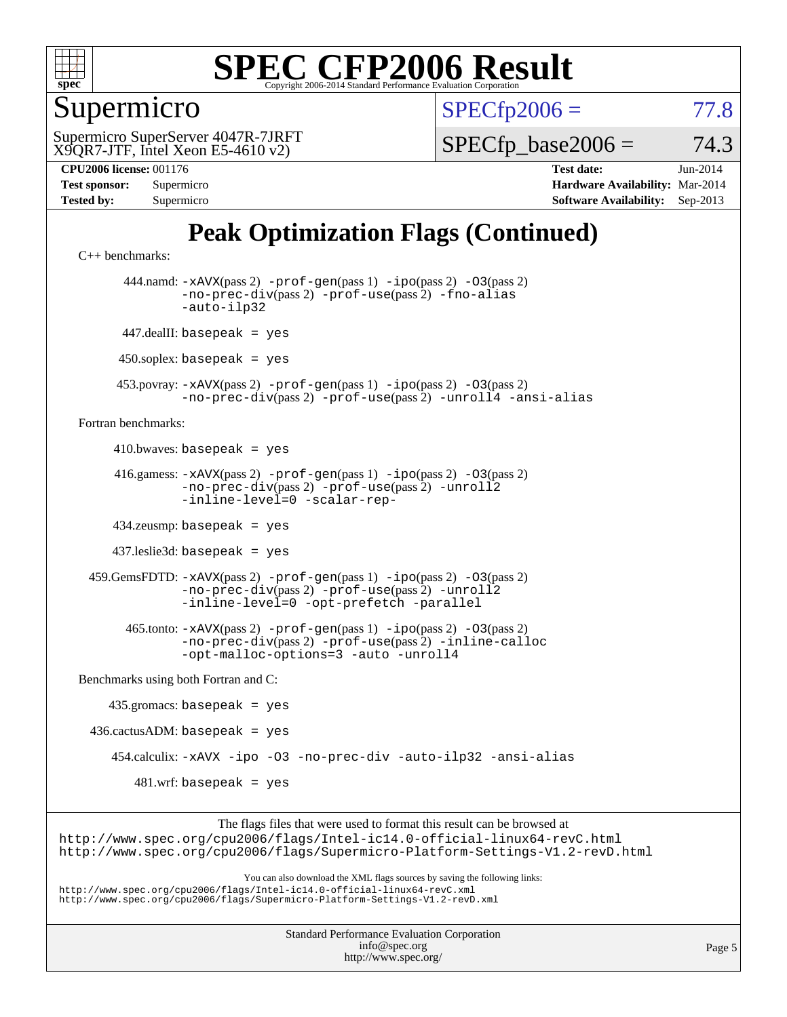

Supermicro

 $SPECTp2006 = 77.8$ 

X9QR7-JTF, Intel Xeon E5-4610 v2) Supermicro SuperServer 4047R-7JRFT  $SPECTp\_base2006 = 74.3$ 

| <b>Test sponsor:</b> | $\sup$ ernncro |
|----------------------|----------------|
| <b>Tested by:</b>    | Supermicro     |

**[CPU2006 license:](http://www.spec.org/auto/cpu2006/Docs/result-fields.html#CPU2006license)** 001176 **[Test date:](http://www.spec.org/auto/cpu2006/Docs/result-fields.html#Testdate)** Jun-2014 **[Test sponsor:](http://www.spec.org/auto/cpu2006/Docs/result-fields.html#Testsponsor)** Supermicro **[Hardware Availability:](http://www.spec.org/auto/cpu2006/Docs/result-fields.html#HardwareAvailability)** Mar-2014 **[Software Availability:](http://www.spec.org/auto/cpu2006/Docs/result-fields.html#SoftwareAvailability)** Sep-2013

## **[Peak Optimization Flags \(Continued\)](http://www.spec.org/auto/cpu2006/Docs/result-fields.html#PeakOptimizationFlags)**

```
C++ benchmarks: 
        444.namd: -xAVX(pass 2) -prof-gen(pass 1) -ipo(pass 2) -O3(pass 2)
                -no-prec-div(pass 2) -prof-use(pass 2) -fno-alias
                -auto-ilp32
       447.dealII: basepeak = yes
      450.soplex: basepeak = yes
      453.povray: -xAVX(pass 2) -prof-gen(pass 1) -ipo(pass 2) -O3(pass 2)
                -no-prec-div(pass 2) -prof-use(pass 2) -unroll4 -ansi-alias
Fortran benchmarks: 
     410.bwaves: basepeak = yes 416.gamess: -xAVX(pass 2) -prof-gen(pass 1) -ipo(pass 2) -O3(pass 2)
                -no-prec-div(pass 2) -prof-use(pass 2) -unroll2
                -inline-level=0 -scalar-rep-
      434.zeusmp: basepeak = yes
      437.leslie3d: basepeak = yes
  459.GemsFDTD: -xAVX(pass 2) -prof-gen(pass 1) -ipo(pass 2) -O3(pass 2)
                -no-prec-div(pass 2) -prof-use(pass 2) -unroll2
                -inline-level=0 -opt-prefetch -parallel
        465.tonto: -xAVX(pass 2) -prof-gen(pass 1) -ipo(pass 2) -O3(pass 2)
                -no-prec-div(pass 2) -prof-use(pass 2) -inline-calloc
                -opt-malloc-options=3-auto-unroll4
Benchmarks using both Fortran and C: 
     435.gromacs: basepeak = yes
 436.cactusADM: basepeak = yes 454.calculix: -xAVX -ipo -O3 -no-prec-div -auto-ilp32 -ansi-alias
        481.wrf: basepeak = yes
                     The flags files that were used to format this result can be browsed at
```
<http://www.spec.org/cpu2006/flags/Intel-ic14.0-official-linux64-revC.html> <http://www.spec.org/cpu2006/flags/Supermicro-Platform-Settings-V1.2-revD.html>

You can also download the XML flags sources by saving the following links:

<http://www.spec.org/cpu2006/flags/Intel-ic14.0-official-linux64-revC.xml> <http://www.spec.org/cpu2006/flags/Supermicro-Platform-Settings-V1.2-revD.xml>

> Standard Performance Evaluation Corporation [info@spec.org](mailto:info@spec.org) <http://www.spec.org/>